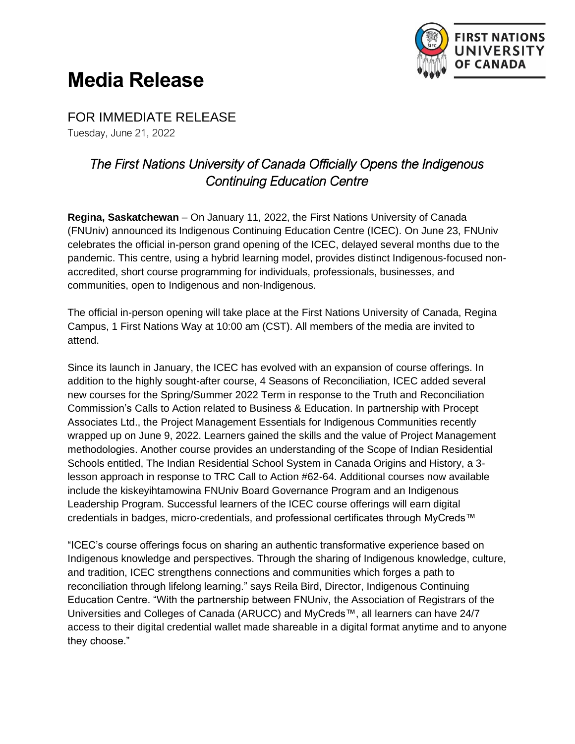

## **Media Release**

FOR IMMEDIATE RELEASE Tuesday, June 21, 2022

## *The First Nations University of Canada Officially Opens the Indigenous Continuing Education Centre*

**Regina, Saskatchewan** – On January 11, 2022, the First Nations University of Canada (FNUniv) announced its Indigenous Continuing Education Centre (ICEC). On June 23, FNUniv celebrates the official in-person grand opening of the ICEC, delayed several months due to the pandemic. This centre, using a hybrid learning model, provides distinct Indigenous-focused nonaccredited, short course programming for individuals, professionals, businesses, and communities, open to Indigenous and non-Indigenous.

The official in-person opening will take place at the First Nations University of Canada, Regina Campus, 1 First Nations Way at 10:00 am (CST). All members of the media are invited to attend.

Since its launch in January, the ICEC has evolved with an expansion of course offerings. In addition to the highly sought-after course, 4 Seasons of Reconciliation, ICEC added several new courses for the Spring/Summer 2022 Term in response to the Truth and Reconciliation Commission's Calls to Action related to Business & Education. In partnership with Procept Associates Ltd., the Project Management Essentials for Indigenous Communities recently wrapped up on June 9, 2022. Learners gained the skills and the value of Project Management methodologies. Another course provides an understanding of the Scope of Indian Residential Schools entitled, The Indian Residential School System in Canada Origins and History, a 3 lesson approach in response to TRC Call to Action #62-64. Additional courses now available include the kiskeyihtamowina FNUniv Board Governance Program and an Indigenous Leadership Program. Successful learners of the ICEC course offerings will earn digital credentials in badges, micro-credentials, and professional certificates through MyCreds™

"ICEC's course offerings focus on sharing an authentic transformative experience based on Indigenous knowledge and perspectives. Through the sharing of Indigenous knowledge, culture, and tradition, ICEC strengthens connections and communities which forges a path to reconciliation through lifelong learning." says Reila Bird, Director, Indigenous Continuing Education Centre. "With the partnership between FNUniv, the Association of Registrars of the Universities and Colleges of Canada (ARUCC) and MyCreds™, all learners can have 24/7 access to their digital credential wallet made shareable in a digital format anytime and to anyone they choose."